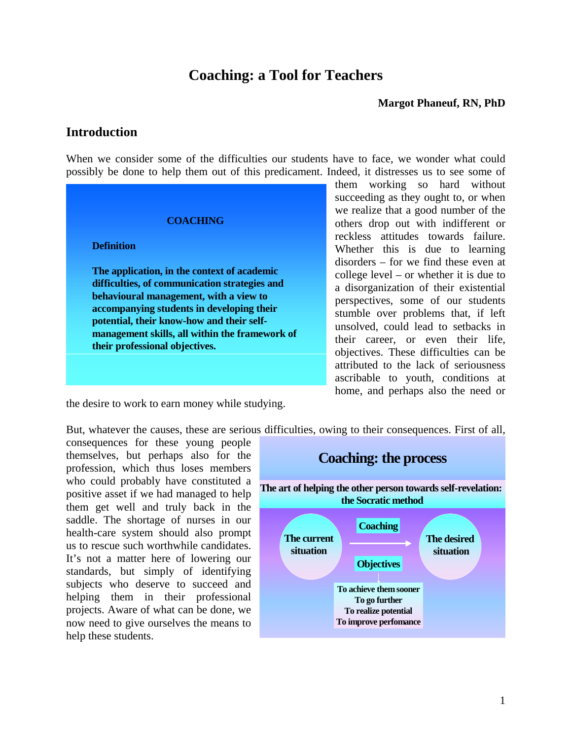# **Coaching: a Tool for Teachers**

#### **Margot Phaneuf, RN, PhD**

#### **Introduction**

When we consider some of the difficulties our students have to face, we wonder what could possibly be done to help them out of this predicament. Indeed, it distresses us to see some of

#### **COACHING**

#### **Definition**

**The application, in the context of academic difficulties, of communication strategies and behavioural management, with a view to accompanying students in developing their potential, their know-how and their selfmanagement skills, all within the framework of their professional objectives.**

them working so hard without succeeding as they ought to, or when we realize that a good number of the others drop out with indifferent or reckless attitudes towards failure. Whether this is due to learning disorders – for we find these even at college level – or whether it is due to a disorganization of their existential perspectives, some of our students stumble over problems that, if left unsolved, could lead to setbacks in their career, or even their life, objectives. These difficulties can be attributed to the lack of seriousness ascribable to youth, conditions at home, and perhaps also the need or

the desire to work to earn money while studying.

But, whatever the causes, these are serious difficulties, owing to their consequences. First of all,

consequences for these young people themselves, but perhaps also for the profession, which thus loses members who could probably have constituted a positive asset if we had managed to help them get well and truly back in the saddle. The shortage of nurses in our health-care system should also prompt us to rescue such worthwhile candidates. It's not a matter here of lowering our standards, but simply of identifying subjects who deserve to succeed and helping them in their professional projects. Aware of what can be done, we now need to give ourselves the means to help these students.

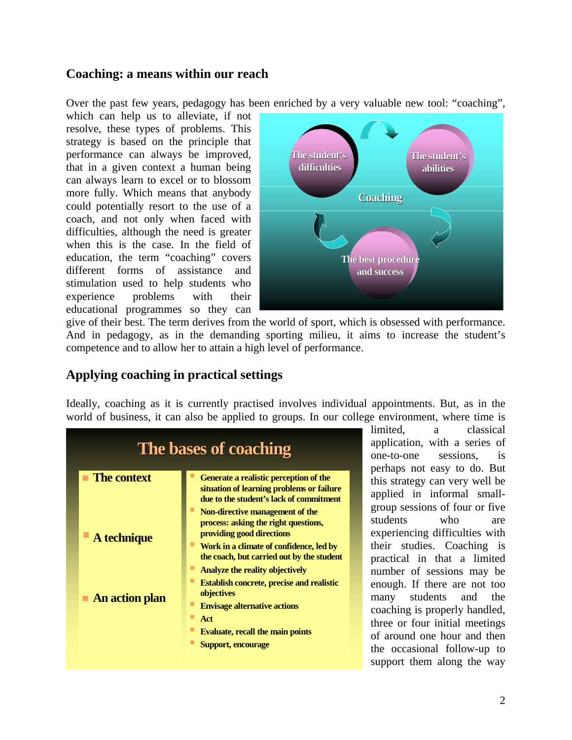### **Coaching: a means within our reach**

Over the past few years, pedagogy has been enriched by a very valuable new tool: "coaching",

which can help us to alleviate, if not resolve, these types of problems. This strategy is based on the principle that performance can always be improved, that in a given context a human being can always learn to excel or to blossom more fully. Which means that anybody could potentially resort to the use of a coach, and not only when faced with difficulties, although the need is greater when this is the case. In the field of education, the term "coaching" covers different forms of assistance and stimulation used to help students who experience problems with their educational programmes so they can



give of their best. The term derives from the world of sport, which is obsessed with performance. And in pedagogy, as in the demanding sporting milieu, it aims to increase the student's competence and to allow her to attain a high level of performance.

# **Applying coaching in practical settings**

Ideally, coaching as it is currently practised involves individual appointments. But, as in the world of business, it can also be applied to groups. In our college environment, where time is



limited, a classical application, with a series of one-to-one sessions, is perhaps not easy to do. But this strategy can very well be applied in informal smallgroup sessions of four or five students who are experiencing difficulties with their studies. Coaching is practical in that a limited number of sessions may be enough. If there are not too many students and the coaching is properly handled, three or four initial meetings of around one hour and then the occasional follow-up to support them along the way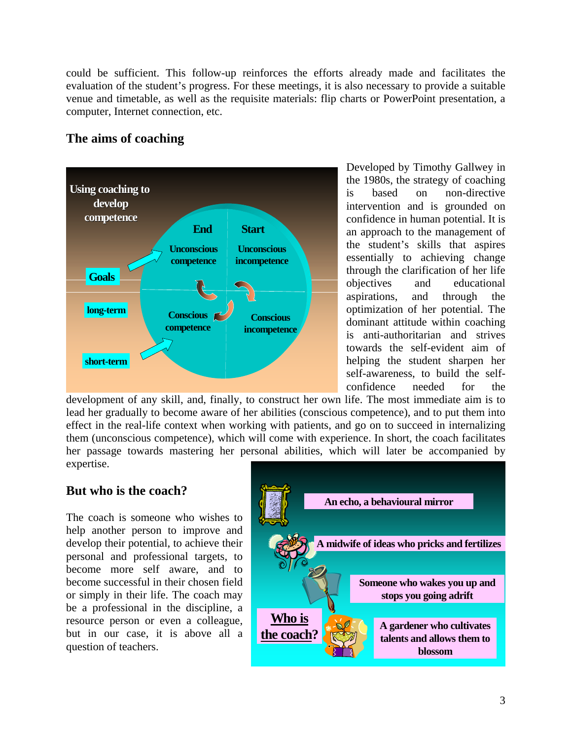could be sufficient. This follow-up reinforces the efforts already made and facilitates the evaluation of the student's progress. For these meetings, it is also necessary to provide a suitable venue and timetable, as well as the requisite materials: flip charts or PowerPoint presentation, a computer, Internet connection, etc.

# **The aims of coaching**



Developed by Timothy Gallwey in the 1980s, the strategy of coaching is based on non-directive intervention and is grounded on confidence in human potential. It is an approach to the management of the student's skills that aspires essentially to achieving change through the clarification of her life objectives and educational aspirations, and through the optimization of her potential. The dominant attitude within coaching is anti-authoritarian and strives towards the self-evident aim of helping the student sharpen her self-awareness, to build the selfconfidence needed for the

development of any skill, and, finally, to construct her own life. The most immediate aim is to lead her gradually to become aware of her abilities (conscious competence), and to put them into effect in the real-life context when working with patients, and go on to succeed in internalizing them (unconscious competence), which will come with experience. In short, the coach facilitates her passage towards mastering her personal abilities, which will later be accompanied by expertise.

#### **But who is the coach?**

The coach is someone who wishes to help another person to improve and develop their potential, to achieve their personal and professional targets, to become more self aware, and to become successful in their chosen field or simply in their life. The coach may be a professional in the discipline, a resource person or even a colleague, but in our case, it is above all a question of teachers.

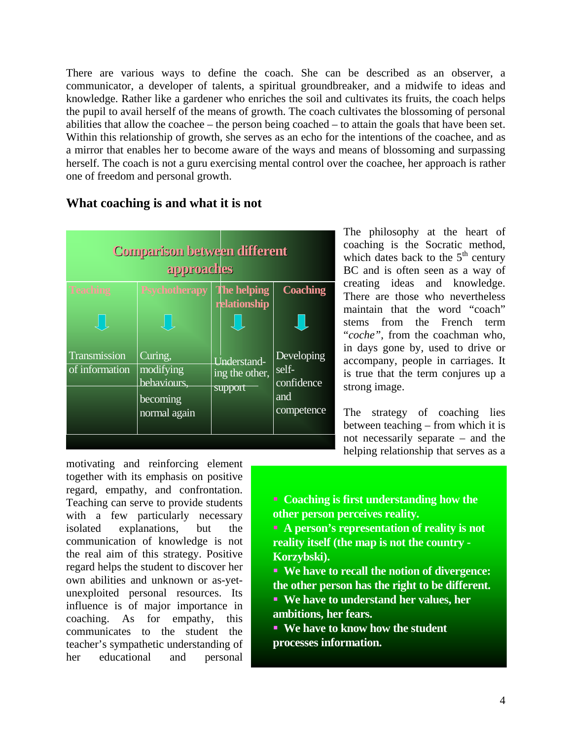There are various ways to define the coach. She can be described as an observer, a ommunicator, a developer of talents, a spiritual groundbreaker, and a midwife to ideas and c knowledge. Rather like a gardener who enriches the soil and cultivates its fruits, the coach helps the pupil to avail herself of the means of growth. The coach cultivates the blossoming of personal abilities that allow the coachee – the person being coached – to attain the goals that have been set. Within this relationship of growth, she serves as an echo for the intentions of the coachee, and as a mirror that enables her to become aware of the ways and means of blossoming and surpassing herself. The coach is not a guru exercising mental control over the coachee, her approach is rather one of freedom and personal growth.



#### What coaching is and what it is not

The philosophy at the heart of coaching is the Socratic method, which dates back to the  $5<sup>th</sup>$  century BC and is often seen as a way of creating ideas and knowledge. There are those who nevertheless maintain that the word "coach" stems from the French term "*coche"*, from the coachman who, in days gone by, used to drive or accompany, people in carriages. It is true that the term conjures up a strong image.

The strategy of coaching lies between teaching – from which it is not necessarily separate – and the helping relationship that serves as a

regard, empathy, and confrontation. Teaching can serve to provide students with a few particularly necessary isolated explanations, but the communication of knowledge is not the real aim of this strategy. Positive regard helps the student to discover her own abilities and unknown or as-yetunexploited personal resources. Its influence is of major importance in coaching. As for empathy, this communicates to the student the teacher's sympathetic understanding of her educational and personal motivating and reinforcing element together with its emphasis on positive

 **Coaching is first understanding how the other person perceives reality.** 

 **A person's representation of reality is not reality itself (the map is not the country - Korzybski).**

 **We have to recall the notion of divergence: the other person has the right to be different. We have to understand her values, her**

**ambitions, her fears. We have to know how the student**

**processes information.**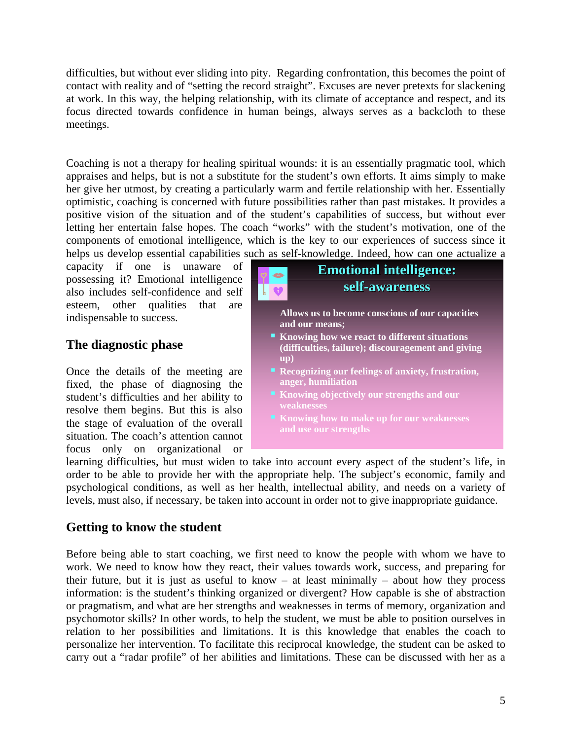difficulties, but without ever sliding into pity. Regarding confrontation, this becomes the point of contact with reality and of "setting the record straight". Excuses are never pretexts for slackening at work. In this way, the helping relationship, with its climate of acceptance and respect, and its focus directed towards confidence in human beings, always serves as a backcloth to these meetings.

Coaching is not a therapy for healing spiritual wounds: it is an essentially pragmatic tool, which appraises and helps, but is not a substitute for the student's own efforts. It aims simply to make her give her utmost, by creating a particularly warm and fertile relationship with her. Essentially optimistic, coaching is concerned with future possibilities rather than past mistakes. It provides a positive vision of the situation and of the student's capabilities of success, but without ever letting her entertain false hopes. The coach "works" with the student's motivation, one of the components of emotional intelligence, which is the key to our experiences of success since it helps us develop essential capabilities s uch as self-knowledge. Indeed, how can one actualize a

capacity if one is unaware of possessing it? Emotional intelligence also includes self-confidence and self esteem, other qualities that are indispensable to success.

# **The dia gnostic phase**

Once the details of the meeting are fixed, the phase of diagnosing the student's difficulties and her ability to resolve them begins. But this is also the stage of evaluation of the overall situation. The coach's attention cannot focus only on organizational or



learning difficulties, but must widen to take into account every aspect of the student's life, in order to be able to provide her with the appropriate help. The subject's economic, family and psychological conditions, as well as her health, intellectual ability, and needs on a variety of levels, must also, if necessary, be taken into account in order not to give inappropriate guidance.

#### **Getting to know the student**

Before being able to start coaching, we first need to know the people with whom we have to work. We need to know how they react, their values towards work, success, and preparing for their future, but it is just as useful to know  $-$  at least minimally  $-$  about how they process information: is the student's thinking organized or divergent? How capable is she of abstraction or pragmatism, and what are her strengths and weaknesses in terms of memory, organization and psychomotor skills? In other words, to help the student, we must be able to position ourselves in relation to her possibilities and limitations. It is this knowledge that enables the coach to personalize her intervention. To facilitate this reciprocal knowledge, the student can be asked to carry out a "radar profile" of her abilities and limitations. These can be discussed with her as a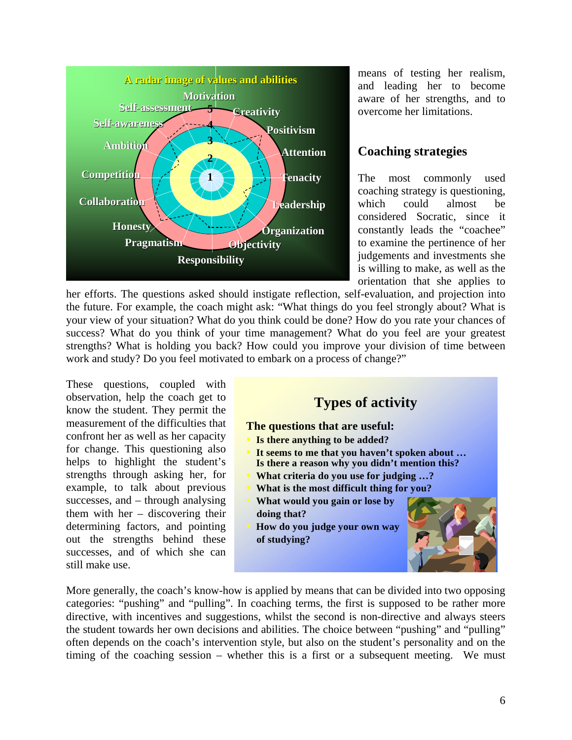

means of testing her realism, and leading her to become aware of her strengths, and to overcome her limitations.

#### **Coaching strategies**

The most commonly used coaching strategy is questioning, could almost be which considered Socratic, since it constantly leads the "coachee" to examine the pertinence of her judgements and investments she is willing to make, as well as the orientation that she applies to

her efforts. The questions asked should instigate reflection, self-evaluation, and projection into the future. For example, the coach might ask: "What things do you feel strongly about? What is your view of your situation? What do you think could be done? How do you rate your chances of success? What do you think of your time management? What do you feel are your greatest strengths? What is holding you back? How could you improve your division of time between work and study? Do you feel motivated to embark on a process of change?"

These questions, coupled with observation, help the coach get to know the student. They permit the measurement of the difficulties that confront her as well as her capacity for change. This questioning also helps to highlight the student's strengths through asking her, for example, to talk about previous successes, and – through analysing them with her – discovering their determining factors, and pointing out the strengths behind these successes, and of which she can still make use.



categories: "pushing" and "pulling". In coaching terms, the first is supposed to be rather more directive, with incentives and suggestions, whilst the second is non-directive and always steers More generally, the coach's know-ho w is applied by means that can be divided into two opposing the student towards her own decisions and abilities. The choice between "pushing" and "pulling" often depends on the coach's intervention style, but also on the student's personality and on the timing of the coaching session – whether this is a first or a subsequent meeting. We must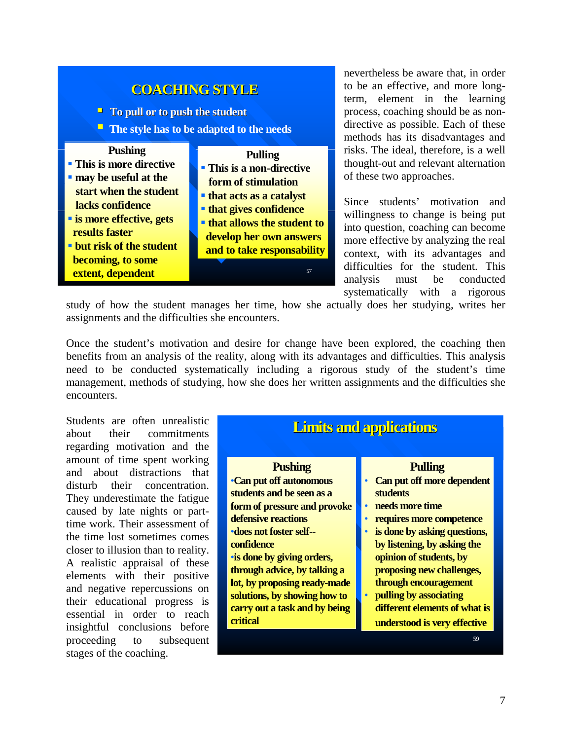

nevertheless be aware that, in order to be an effective, and more longterm, element in the learning process, coaching should be as nondirective as possible. Each of these methods has its disadvantages and risks. The ideal, therefore, is a well thought-out and relevant alternation of these two approaches.

Since students' motivation and willingness to change is being put into question, coaching can become more effective by analyzing the real context, with its advantages and difficulties for the student. This analysis must be conducted systematically with a rigorous

study of how the student manages her time, how she actually does her studying, writes her assignments and the difficulties she encounters.

need to be conducted systematically including a rigorous study of the student's time anagement, methods of studying, how she does her written assignments and the difficulties she m Once the student's motivation and desire for change have been explored, the coaching then benefits from an analysis of the reality, along with its advantages and difficulties. This analysis encounters.

regarding motivation and the amount of time spent working Students are often unrealistic about their commitments and about distractions that disturb their concentration. They underestimate the fatigue caused by late nights or parttime work. Their assessment of the time lost sometimes comes closer to illusion than to reality. A realistic appraisal of these elements with their positive and negative repercussions on their educational progress is essential in order to reach insightful conclusions before proceeding to subsequent stages of the coaching.

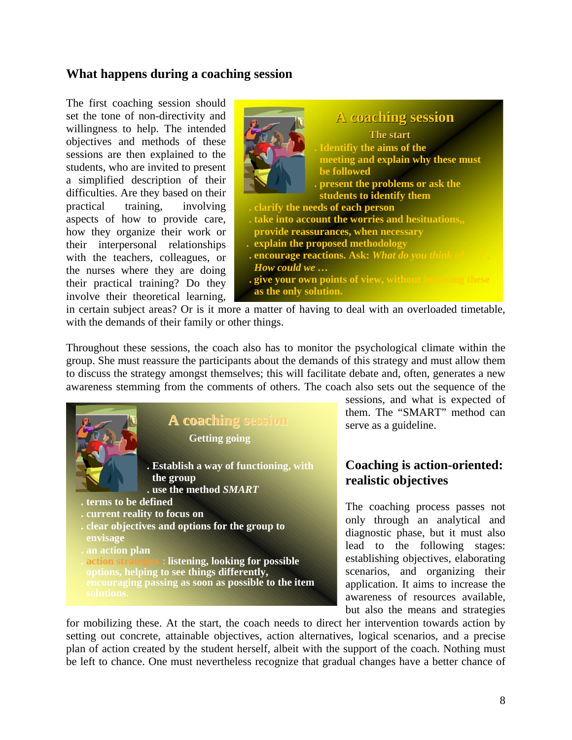#### **What happens during a coaching session**

The first coaching session should set the tone of non-directivity and willingness to help. The intended objectives and methods of these sessions are then explained to the students, who are invited to present a simplified description of their difficulties. Are they based on their practical training, involving aspects of how to provide care, how they organize their work or their interpersonal relationships with the teachers, colleagues, or the nurses where they are doing their practical training? Do they involve their theoretical learning,



with the demands of their family or other things. in certain subject areas? Or is it mor e a matter of having to deal with an overloaded timetable,

Throughout these sessions, the coach also has to monitor the psychological climate within the to discuss the strategy amongst themselves; this will facilitate debate and, often, generates a new awareness stemming from the comments of others. The coach also sets out the sequence of the group. She must reassure the participants about the demands of this strategy and must allow them



sessions, and what is expected of them. The "SMART" method can serve as a guideline.

# **s realistic objective Coaching is action-oriented:**

diagnostic phase, but it must also lead to the following stages: The coaching process passes not only through an analytical and establishing objectives, elaborating scenarios, and organizing their application. It aims to increase the awareness of resources available, but also the means and strategies

for mobilizing these. At the start, the coach needs to direct her intervention towards action by setting out concrete, attainable objectives, action alternatives, logical scenarios, and a precise plan of action created by the student herself, albeit with the support of the coach. Nothing must be left to chance. One must nevertheless recognize that gradu al changes have a better chance of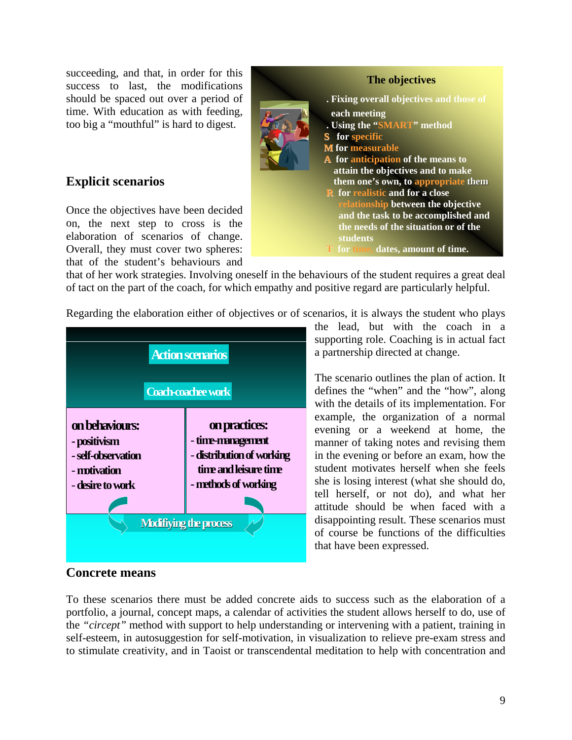succeeding, and that, in order for this success to last, the modifications should be spaced out over a period of time. With education as with feeding, too big a "mouthful" is hard to digest.

# **Explicit scenarios**

Once the objectives have been decided on, the next step to cross is the elaboration of scenarios of change. that of the student's behaviours and Overall, they must cover two spheres:



that of her work strategies. Involving oneself in the behaviours of the student requires a great deal of tact on the part of the coach, for which empathy and positive regard are particularly helpful.

Regarding the elaboration either of objectives or of scenarios, it is always the student who plays



a partnership directed at change. the lead, but with the coach in a supporting role. Coaching is in actual fact

example, the organization of a normal evening or a weekend at home, the The scenario outlines the plan of action. It defines the "when" and the "how", along with the details of its implementation. For manner of taking notes and revising them in the evening or before an exam, how the student motivates herself when she feels she is losing interest (what she should do, tell herself, or not do), and what her attitude should be when faced with a disappointing result. These scenarios must of course be functions of the difficulties that have been expressed.

#### **Concrete means**

To these scenarios there must be added concrete aids to success such as the elaboration of a portfolio, a journal, concept maps, a calendar of activities the student allows herself to do, use of the *"circept"* method with support to help understanding or intervening with a patient, training in self-esteem, in autosuggestion for self-motivation, in visualization to relieve pre-exam stress and to stimulate creativity, and in Taoist or transcendental meditation to help with concentration and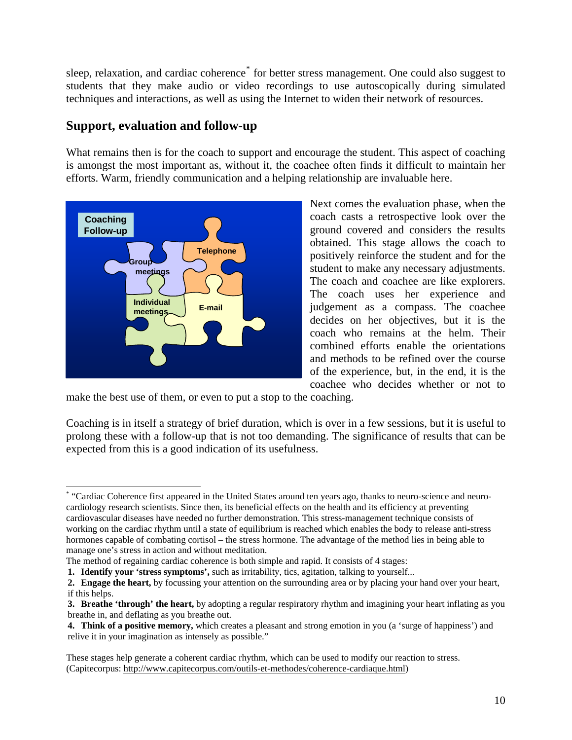sleep, relaxation, and cardiac coherence<sup>[\\*](#page-9-0)</sup> for better stress management. One could also suggest to students that they make audio or video recordings to use autoscopically during simulated techniques and interactions, as well as using the Internet to widen their network of resources.

### **Support, evaluation and follow-up**

What remains then is for the coach to support and encourage the student. This aspect of coaching is amongst the most important as, without it, the coachee often finds it difficult to maintain her efforts. Warm, friendly communication and a helping relationship are invaluable here.



Next comes the evaluation phase, when the **coach to obtained.** This stage allows the coach to **Telephone** positively reinforce the student and for the coach casts a retrospective look over the ground covered and considers the results student to make any necessary adjustments. The coach and coachee are like explorers. The coach uses her experience and judgement as a compass. The coachee decides on her objectives, but it is the coach who remains at the helm. Their combined efforts enable the orientations and methods to be refined over the course of the experience, but, in the end, it is the coachee who decides whether or not to

make the best use of them, or even to put a stop to the coaching.

Coaching is in itself a strategy of brief duration, which is over in a few sessions, but it is useful to prolong these with a follow-up that is not too demand ing. The significance of results that can be expected from this is a good indication of its usefulnes s.

<span id="page-9-0"></span> \* "Cardiac Coherence first appeared in the United States around ten years ago, thanks to neuro-science and neurocardiology research scientists. Since then, its beneficial effects on the health and its efficiency at preventing cardiovascular diseases have needed no further demonstration. This stress-management technique consists of working on the cardiac rhythm until a state of equilibrium is reached which enables the body to release anti-stress hormones capable of combating cortisol – the stress hormone. The advantage of the method lies in being able to manage one's stress in action and without meditation.

The method of regaining cardiac coherence is both simple and rapid. It consists of 4 stages:

**<sup>1.</sup> Identify your 'stress symptoms',** such as irritability, tics, agitation, talking to yourself...

**<sup>2.</sup> Engage the heart,** by focussing your attention on the surrounding area or by placing your hand over your heart, if this helps.

**<sup>3.</sup> Breathe 'through' the heart,** by adopting a regular respiratory rhythm and imagining your heart inflating as you breathe in, and deflating as you breathe out.

**<sup>4.</sup> Think of a positive memory,** which creates a pleasant and strong emotion in you (a 'surge of happiness') and relive it in your imagination as intensely as possible."

These stages help generate a coherent cardiac rhythm, which can be used to modify our reaction to stress. (Capitecorpus: [http://www.capitecorpus.com/outils-et-methodes/coherence-cardiaque.html\)](http://www.capitecorpus.com/outils-et-methodes/coherence-cardiaque.html)